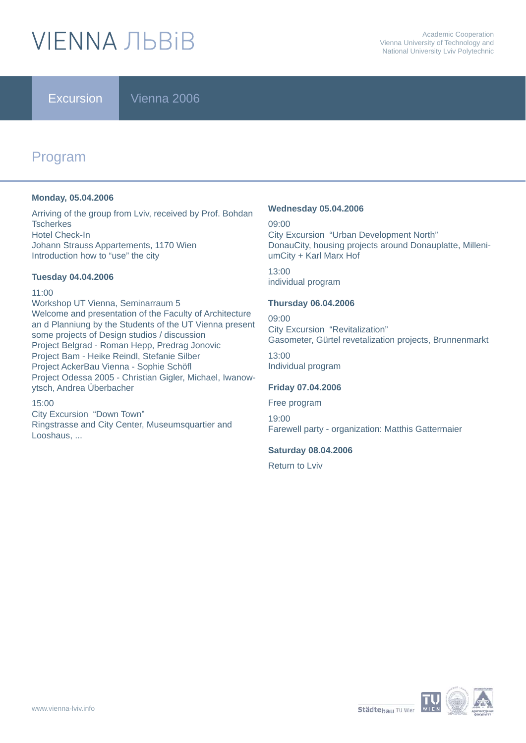# **VIENNA ЛЬВІВ**

Excursion Vienna 2006

# Program

#### **Monday, 05.04.2006**

Arriving of the group from Lviv, received by Prof. Bohdan **Tscherkes** Hotel Check-In Johann Strauss Appartements, 1170 Wien Introduction how to "use" the city

#### **Tuesday 04.04.2006**

#### 11:00

Workshop UT Vienna, Seminarraum 5 Welcome and presentation of the Faculty of Architecture an d Planniung by the Students of the UT Vienna present some projects of Design studios / discussion Project Belgrad - Roman Hepp, Predrag Jonovic Project Bam - Heike Reindl, Stefanie Silber Project AckerBau Vienna - Sophie Schöfl Project Odessa 2005 - Christian Gigler, Michael, Iwanowytsch, Andrea Überbacher

#### 15:00

City Excursion "Down Town" Ringstrasse and City Center, Museumsquartier and Looshaus, ...

#### **Wednesday 05.04.2006**

09:00 City Excursion "Urban Development North" DonauCity, housing projects around Donauplatte, MilleniumCity + Karl Marx Hof

13:00 individual program

#### **Thursday 06.04.2006**

09:00 City Excursion "Revitalization" Gasometer, Gürtel revetalization projects, Brunnenmarkt 13:00 Individual program

#### **Friday 07.04.2006**

Free program 19:00 Farewell party - organization: Matthis Gattermaier

#### **Saturday 08.04.2006**

Return to Lviv